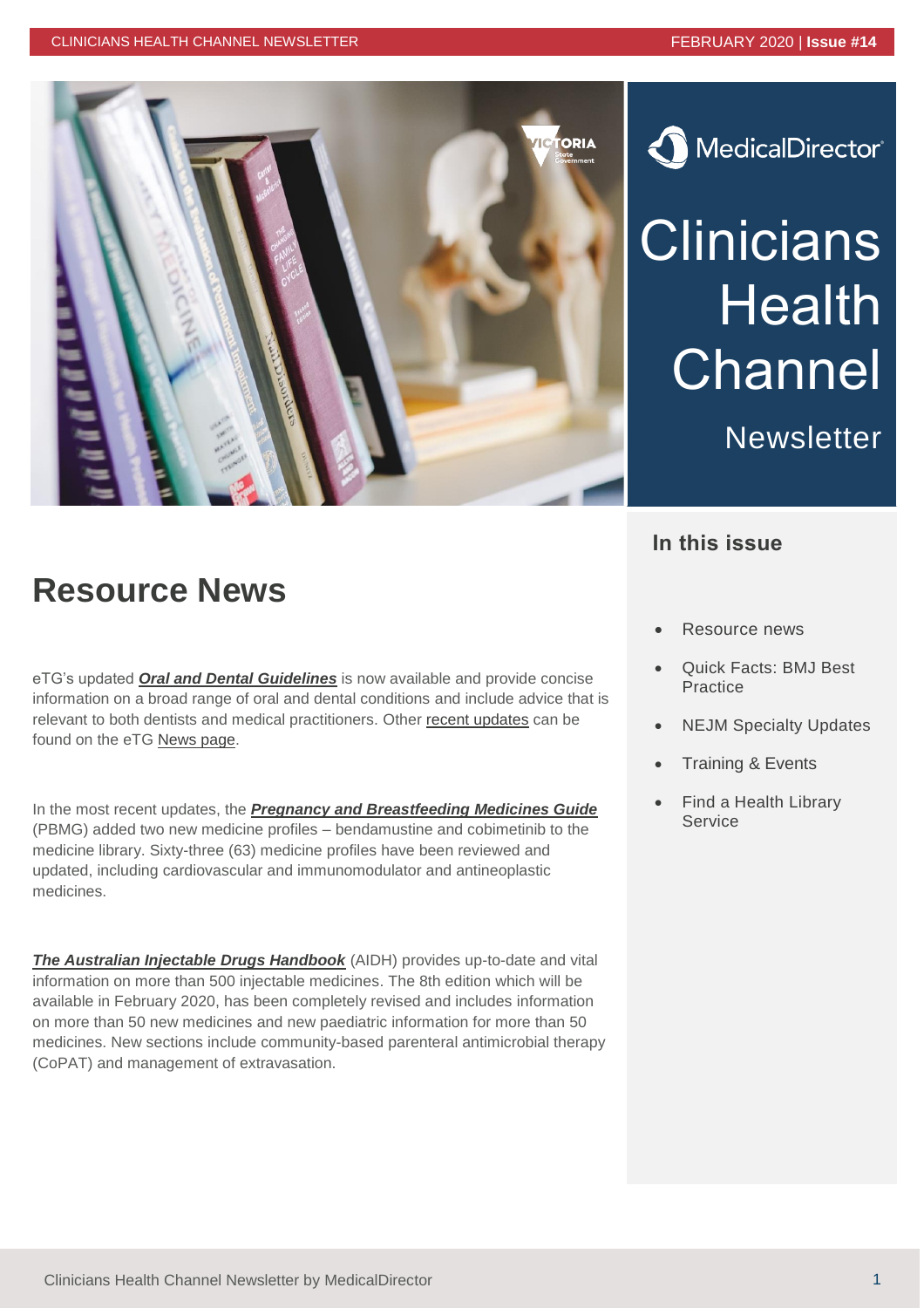

# MedicalDirector®

# **Clinicians Health Channel**

**Newsletter** 

#### **In this issue**

#### **Resource News**

eTG's updated *[Oral and Dental Guidelines](https://tgldcdp.tg.org.au.acs.hcn.com.au/etgAccess)* is now available and provide concise information on a broad range of oral and dental conditions and include advice that is relevant to both dentists and medical practitioners. Other [recent updates](https://www.tg.org.au/news/practice-changing-updates-in-the-december-2019-release/) can be found on the eTG [News page.](https://www.tg.org.au/news/practice-changing-updates-in-the-december-2019-release/)

In the most recent updates, the *[Pregnancy and Breastfeeding Medicines Guide](https://thewomenspbmg.org.au.acs.hcn.com.au/?acc=36265)* (PBMG) added two new medicine profiles – bendamustine and cobimetinib to the medicine library. Sixty-three (63) medicine profiles have been reviewed and updated, including cardiovascular and immunomodulator and antineoplastic medicines.

**[The Australian Injectable Drugs Handbook](https://aidh.hcn.com.au/browse/about_aidh)** (AIDH) provides up-to-date and vital information on more than 500 injectable medicines. The 8th edition which will be available in February 2020, has been completely revised and includes information on more than 50 new medicines and new paediatric information for more than 50 medicines. New sections include community-based parenteral antimicrobial therapy (CoPAT) and management of extravasation.

- Resource news
- Quick Facts: BMJ Best Practice
- **NEJM Specialty Updates**
- Training & Events
- Find a Health Library Service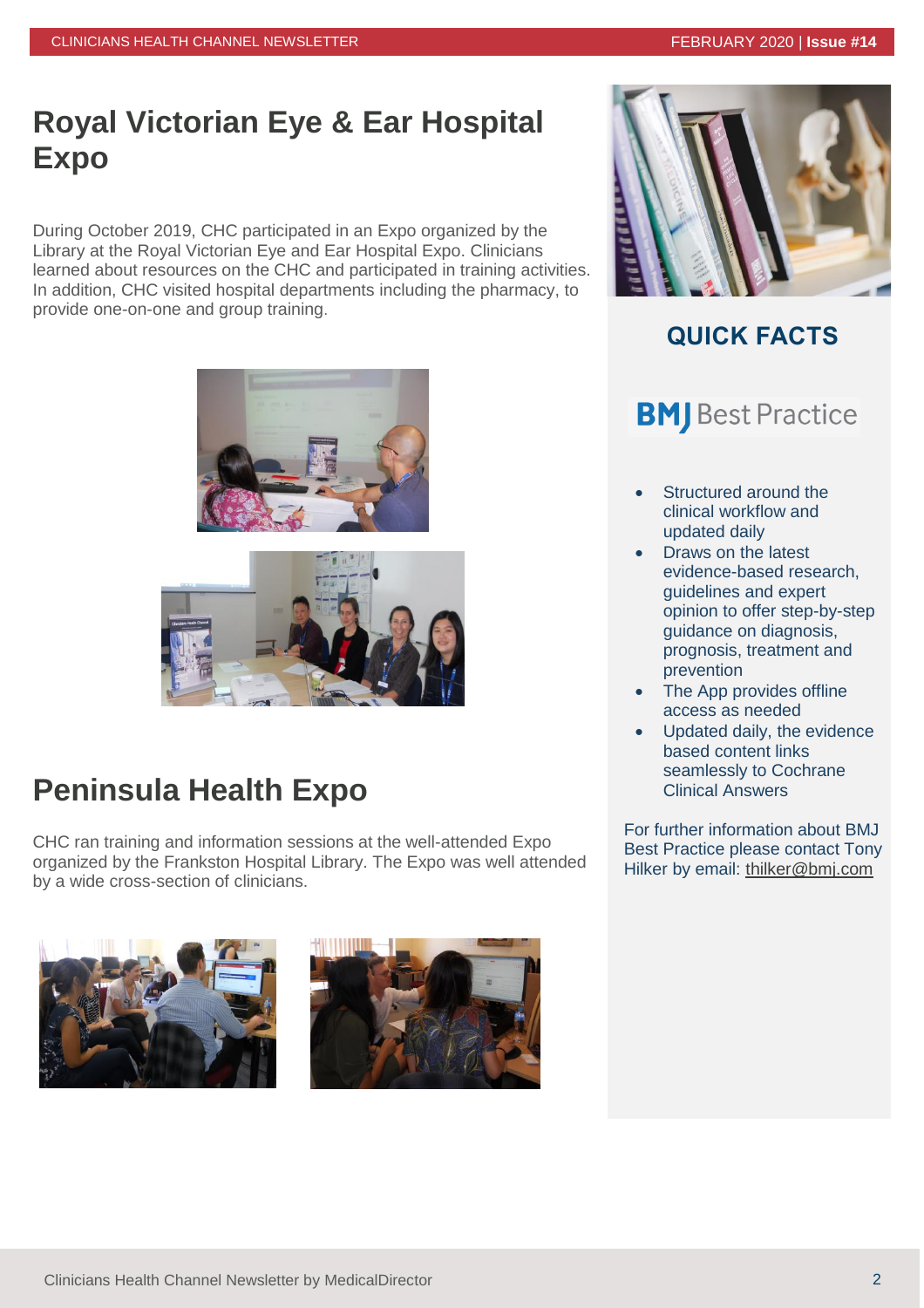### **Royal Victorian Eye & Ear Hospital Expo**

During October 2019, CHC participated in an Expo organized by the Library at the Royal Victorian Eye and Ear Hospital Expo. Clinicians learned about resources on the CHC and participated in training activities. In addition, CHC visited hospital departments including the pharmacy, to provide one-on-one and group training.





## **Peninsula Health Expo**

CHC ran training and information sessions at the well-attended Expo organized by the Frankston Hospital Library. The Expo was well attended by a wide cross-section of clinicians.







#### **QUICK FACTS**

### **BMJ** Best Practice

- Structured around the clinical workflow and updated daily
- Draws on the latest evidence-based research, guidelines and expert opinion to offer step-by-step guidance on diagnosis, prognosis, treatment and prevention
- The App provides offline access as needed
- Updated daily, the evidence based content links seamlessly to Cochrane Clinical Answers

For further information about BMJ Best Practice please contact Tony Hilker by email: [thilker@bmj.com](mailto:thilker@bmj.com)